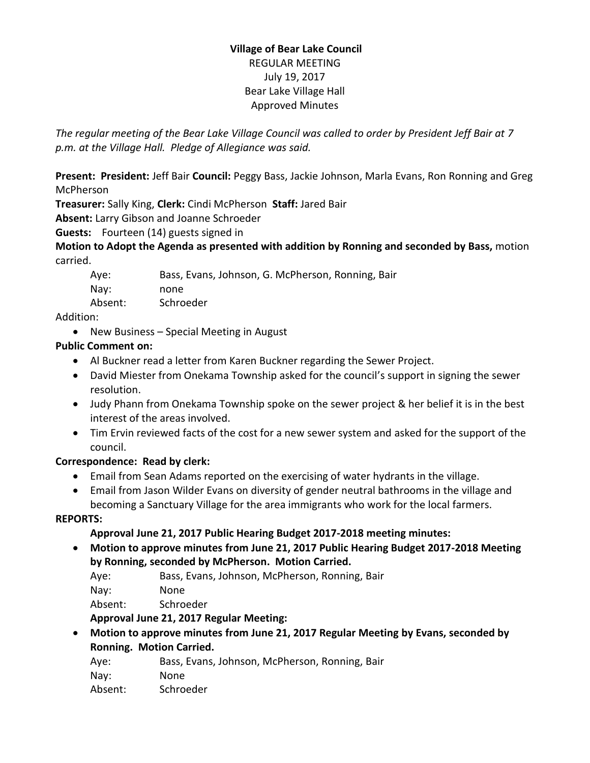#### **Village of Bear Lake Council** REGULAR MEETING July 19, 2017 Bear Lake Village Hall Approved Minutes

*The regular meeting of the Bear Lake Village Council was called to order by President Jeff Bair at 7 p.m. at the Village Hall. Pledge of Allegiance was said.*

**Present: President:** Jeff Bair **Council:** Peggy Bass, Jackie Johnson, Marla Evans, Ron Ronning and Greg McPherson

**Treasurer:** Sally King, **Clerk:** Cindi McPherson **Staff:** Jared Bair

**Absent:** Larry Gibson and Joanne Schroeder

**Guests:** Fourteen (14) guests signed in

**Motion to Adopt the Agenda as presented with addition by Ronning and seconded by Bass,** motion carried.

| Aye:    | Bass, Evans, Johnson, G. McPherson, Ronning, Bair |
|---------|---------------------------------------------------|
| Nay:    | none                                              |
| Absent: | Schroeder                                         |

Addition:

• New Business – Special Meeting in August

## **Public Comment on:**

- Al Buckner read a letter from Karen Buckner regarding the Sewer Project.
- David Miester from Onekama Township asked for the council's support in signing the sewer resolution.
- Judy Phann from Onekama Township spoke on the sewer project & her belief it is in the best interest of the areas involved.
- Tim Ervin reviewed facts of the cost for a new sewer system and asked for the support of the council.

## **Correspondence: Read by clerk:**

- Email from Sean Adams reported on the exercising of water hydrants in the village.
- Email from Jason Wilder Evans on diversity of gender neutral bathrooms in the village and becoming a Sanctuary Village for the area immigrants who work for the local farmers.

#### **REPORTS:**

## **Approval June 21, 2017 Public Hearing Budget 2017-2018 meeting minutes:**

 **Motion to approve minutes from June 21, 2017 Public Hearing Budget 2017-2018 Meeting by Ronning, seconded by McPherson. Motion Carried.**

Aye: Bass, Evans, Johnson, McPherson, Ronning, Bair

Nay: None

Absent: Schroeder

**Approval June 21, 2017 Regular Meeting:** 

 **Motion to approve minutes from June 21, 2017 Regular Meeting by Evans, seconded by Ronning. Motion Carried.**

Aye: Bass, Evans, Johnson, McPherson, Ronning, Bair

Nay: None

Absent: Schroeder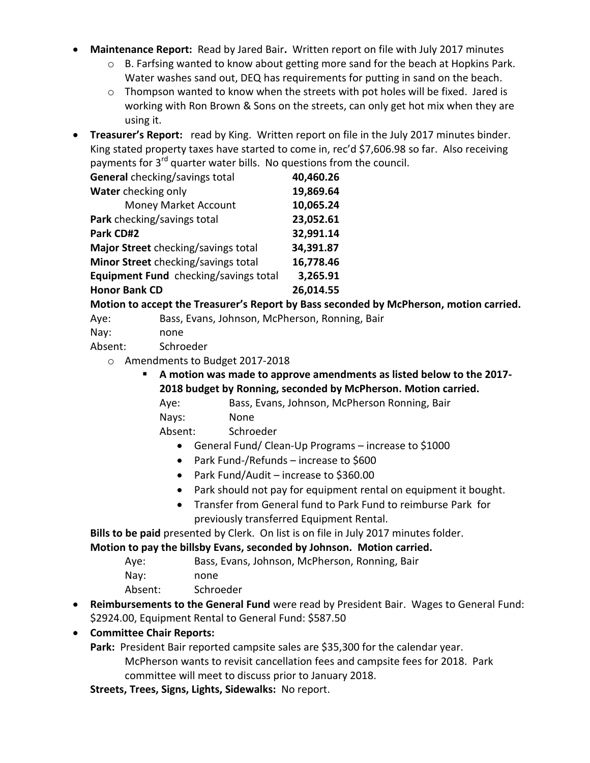- **Maintenance Report:** Read by Jared Bair**.** Written report on file with July 2017 minutes
	- o B. Farfsing wanted to know about getting more sand for the beach at Hopkins Park. Water washes sand out, DEQ has requirements for putting in sand on the beach.
	- $\circ$  Thompson wanted to know when the streets with pot holes will be fixed. Jared is working with Ron Brown & Sons on the streets, can only get hot mix when they are using it.
- **Treasurer's Report:** read by King. Written report on file in the July 2017 minutes binder. King stated property taxes have started to come in, rec'd \$7,606.98 so far. Also receiving payments for 3<sup>rd</sup> quarter water bills. No questions from the council.

| <b>General</b> checking/savings total | 40,460.26 |
|---------------------------------------|-----------|
| Water checking only                   | 19,869.64 |
| Money Market Account                  | 10,065.24 |
| Park checking/savings total           | 23,052.61 |
| Park CD#2                             | 32,991.14 |
| Major Street checking/savings total   | 34,391.87 |
| Minor Street checking/savings total   | 16,778.46 |
| Equipment Fund checking/savings total | 3,265.91  |
| <b>Honor Bank CD</b>                  | 26,014.55 |

**Motion to accept the Treasurer's Report by Bass seconded by McPherson, motion carried.**

Aye: Bass, Evans, Johnson, McPherson, Ronning, Bair

Nay: none

Absent: Schroeder

- o Amendments to Budget 2017-2018
	- **A motion was made to approve amendments as listed below to the 2017- 2018 budget by Ronning, seconded by McPherson. Motion carried.**

Aye: Bass, Evans, Johnson, McPherson Ronning, Bair Nays: None

Absent: Schroeder

- General Fund/ Clean-Up Programs increase to \$1000
- Park Fund-/Refunds increase to \$600
- Park Fund/Audit increase to \$360.00
- Park should not pay for equipment rental on equipment it bought.
- Transfer from General fund to Park Fund to reimburse Park for previously transferred Equipment Rental.

**Bills to be paid** presented by Clerk. On list is on file in July 2017 minutes folder. **Motion to pay the billsby Evans, seconded by Johnson. Motion carried.**

| Aye: |  | Bass, Evans, Johnson, McPherson, Ronning, Bair |  |
|------|--|------------------------------------------------|--|

| .       |           |
|---------|-----------|
| Nay:    | none      |
| Absent: | Schroeder |

 **Reimbursements to the General Fund** were read by President Bair. Wages to General Fund: \$2924.00, Equipment Rental to General Fund: \$587.50

#### **Committee Chair Reports:**

**Park:** President Bair reported campsite sales are \$35,300 for the calendar year. McPherson wants to revisit cancellation fees and campsite fees for 2018. Park committee will meet to discuss prior to January 2018.

**Streets, Trees, Signs, Lights, Sidewalks:** No report.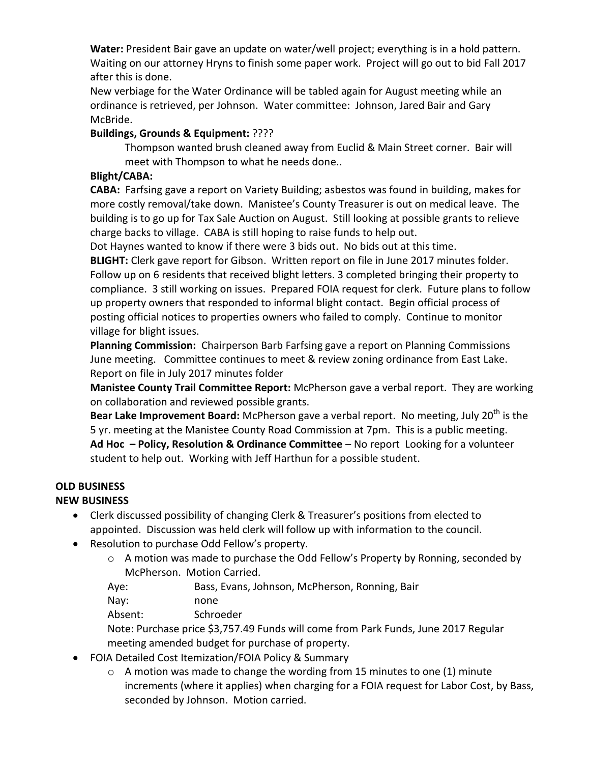**Water:** President Bair gave an update on water/well project; everything is in a hold pattern. Waiting on our attorney Hryns to finish some paper work. Project will go out to bid Fall 2017 after this is done.

New verbiage for the Water Ordinance will be tabled again for August meeting while an ordinance is retrieved, per Johnson. Water committee: Johnson, Jared Bair and Gary McBride.

#### **Buildings, Grounds & Equipment:** ????

Thompson wanted brush cleaned away from Euclid & Main Street corner. Bair will meet with Thompson to what he needs done..

#### **Blight/CABA:**

**CABA:** Farfsing gave a report on Variety Building; asbestos was found in building, makes for more costly removal/take down. Manistee's County Treasurer is out on medical leave. The building is to go up for Tax Sale Auction on August. Still looking at possible grants to relieve charge backs to village. CABA is still hoping to raise funds to help out.

Dot Haynes wanted to know if there were 3 bids out. No bids out at this time.

**BLIGHT:** Clerk gave report for Gibson. Written report on file in June 2017 minutes folder. Follow up on 6 residents that received blight letters. 3 completed bringing their property to compliance. 3 still working on issues. Prepared FOIA request for clerk. Future plans to follow up property owners that responded to informal blight contact. Begin official process of posting official notices to properties owners who failed to comply. Continue to monitor village for blight issues.

**Planning Commission:** Chairperson Barb Farfsing gave a report on Planning Commissions June meeting. Committee continues to meet & review zoning ordinance from East Lake. Report on file in July 2017 minutes folder

**Manistee County Trail Committee Report:** McPherson gave a verbal report. They are working on collaboration and reviewed possible grants.

**Bear Lake Improvement Board:** McPherson gave a verbal report. No meeting, July 20<sup>th</sup> is the 5 yr. meeting at the Manistee County Road Commission at 7pm. This is a public meeting. **Ad Hoc – Policy, Resolution & Ordinance Committee** – No report Looking for a volunteer student to help out. Working with Jeff Harthun for a possible student.

## **OLD BUSINESS**

## **NEW BUSINESS**

- Clerk discussed possibility of changing Clerk & Treasurer's positions from elected to appointed. Discussion was held clerk will follow up with information to the council.
- Resolution to purchase Odd Fellow's property.
	- o A motion was made to purchase the Odd Fellow's Property by Ronning, seconded by McPherson. Motion Carried.
	- Aye: Bass, Evans, Johnson, McPherson, Ronning, Bair

Nay: none

Absent: Schroeder

Note: Purchase price \$3,757.49 Funds will come from Park Funds, June 2017 Regular meeting amended budget for purchase of property.

- FOIA Detailed Cost Itemization/FOIA Policy & Summary
	- o A motion was made to change the wording from 15 minutes to one (1) minute increments (where it applies) when charging for a FOIA request for Labor Cost, by Bass, seconded by Johnson. Motion carried.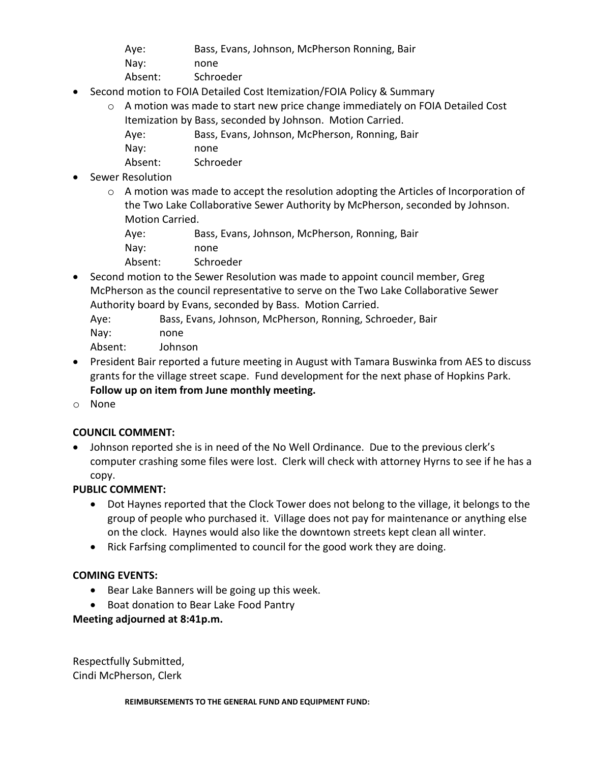- Aye: Bass, Evans, Johnson, McPherson Ronning, Bair
- Nay: none
- Absent: Schroeder
- Second motion to FOIA Detailed Cost Itemization/FOIA Policy & Summary
	- o A motion was made to start new price change immediately on FOIA Detailed Cost Itemization by Bass, seconded by Johnson. Motion Carried.
		- Aye: Bass, Evans, Johnson, McPherson, Ronning, Bair
		- Nay: none
		- Absent: Schroeder
- Sewer Resolution
	- $\circ$  A motion was made to accept the resolution adopting the Articles of Incorporation of the Two Lake Collaborative Sewer Authority by McPherson, seconded by Johnson. Motion Carried.
		- Aye: Bass, Evans, Johnson, McPherson, Ronning, Bair
		- Nay: none
		- Absent: Schroeder
- Second motion to the Sewer Resolution was made to appoint council member, Greg McPherson as the council representative to serve on the Two Lake Collaborative Sewer Authority board by Evans, seconded by Bass. Motion Carried.
	- Aye: Bass, Evans, Johnson, McPherson, Ronning, Schroeder, Bair Nay: none Absent: Johnson
- President Bair reported a future meeting in August with Tamara Buswinka from AES to discuss
- grants for the village street scape. Fund development for the next phase of Hopkins Park. **Follow up on item from June monthly meeting.**
- o None

# **COUNCIL COMMENT:**

 Johnson reported she is in need of the No Well Ordinance. Due to the previous clerk's computer crashing some files were lost. Clerk will check with attorney Hyrns to see if he has a copy.

# **PUBLIC COMMENT:**

- Dot Haynes reported that the Clock Tower does not belong to the village, it belongs to the group of people who purchased it. Village does not pay for maintenance or anything else on the clock. Haynes would also like the downtown streets kept clean all winter.
- Rick Farfsing complimented to council for the good work they are doing.

# **COMING EVENTS:**

- Bear Lake Banners will be going up this week.
- Boat donation to Bear Lake Food Pantry

# **Meeting adjourned at 8:41p.m.**

Respectfully Submitted, Cindi McPherson, Clerk

#### **REIMBURSEMENTS TO THE GENERAL FUND AND EQUIPMENT FUND:**